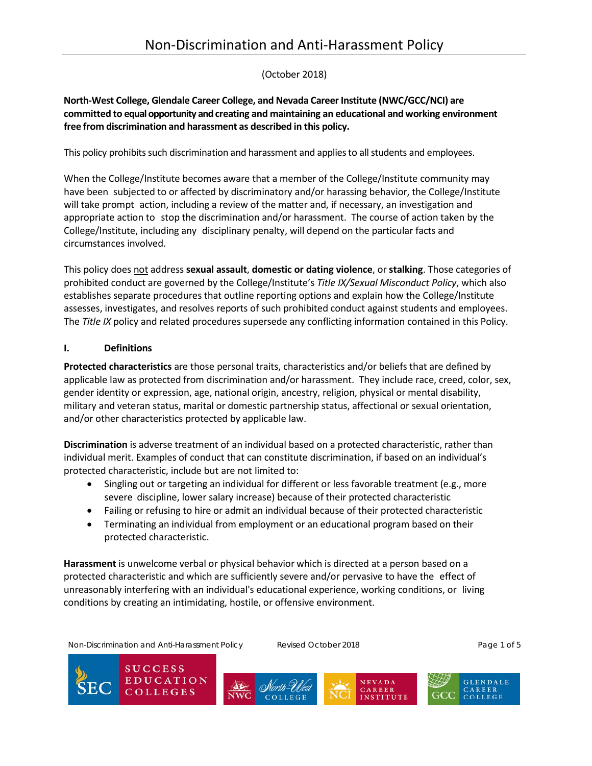# (October 2018)

### **North-West College, Glendale Career College, and Nevada Career Institute (NWC/GCC/NCI) are committed to equal opportunity and creating and maintaining an educational and working environment free from discrimination and harassment as described in this policy.**

This policy prohibits such discrimination and harassment and applies to all students and employees.

When the College/Institute becomes aware that a member of the College/Institute community may have been subjected to or affected by discriminatory and/or harassing behavior, the College/Institute will take prompt action, including a review of the matter and, if necessary, an investigation and appropriate action to stop the discrimination and/or harassment. The course of action taken by the College/Institute, including any disciplinary penalty, will depend on the particular facts and circumstances involved.

This policy does not address **sexual assault**, **domestic or dating violence**, or **stalking**. Those categories of prohibited conduct are governed by the College/Institute's *Title IX/Sexual Misconduct Policy*, which also establishes separate procedures that outline reporting options and explain how the College/Institute assesses, investigates, and resolves reports of such prohibited conduct against students and employees. The *Title IX* policy and related procedures supersede any conflicting information contained in this Policy.

### **I. Definitions**

**Protected characteristics** are those personal traits, characteristics and/or beliefs that are defined by applicable law as protected from discrimination and/or harassment. They include race, creed, color, sex, gender identity or expression, age, national origin, ancestry, religion, physical or mental disability, military and veteran status, marital or domestic partnership status, affectional or sexual orientation, and/or other characteristics protected by applicable law.

**Discrimination** is adverse treatment of an individual based on a protected characteristic, rather than individual merit. Examples of conduct that can constitute discrimination, if based on an individual's protected characteristic, include but are not limited to:

- Singling out or targeting an individual for different or less favorable treatment (e.g., more severe discipline, lower salary increase) because of their protected characteristic
- Failing or refusing to hire or admit an individual because of their protected characteristic
- Terminating an individual from employment or an educational program based on their protected characteristic.

**Harassment** is unwelcome verbal or physical behavior which is directed at a person based on a protected characteristic and which are sufficiently severe and/or pervasive to have the effect of unreasonably interfering with an individual's educational experience, working conditions, or living conditions by creating an intimidating, hostile, or offensive environment.

Non-Discrimination and Anti-Harassment Policy **Revised October 2018** Page 1 of 5

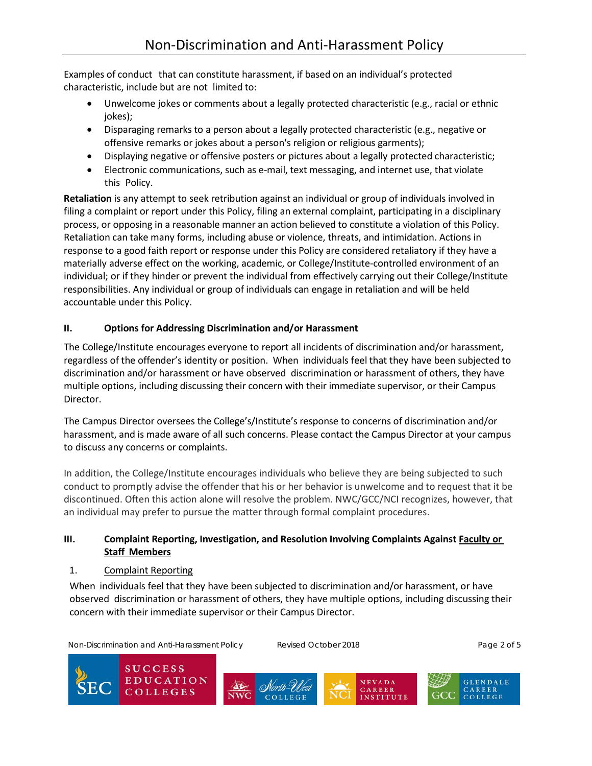Examples of conduct that can constitute harassment, if based on an individual's protected characteristic, include but are not limited to:

- Unwelcome jokes or comments about a legally protected characteristic (e.g., racial or ethnic jokes);
- Disparaging remarks to a person about a legally protected characteristic (e.g., negative or offensive remarks or jokes about a person's religion or religious garments);
- Displaying negative or offensive posters or pictures about a legally protected characteristic;
- Electronic communications, such as e-mail, text messaging, and internet use, that violate this Policy.

**Retaliation** is any attempt to seek retribution against an individual or group of individuals involved in filing a complaint or report under this Policy, filing an external complaint, participating in a disciplinary process, or opposing in a reasonable manner an action believed to constitute a violation of this Policy. Retaliation can take many forms, including abuse or violence, threats, and intimidation. Actions in response to a good faith report or response under this Policy are considered retaliatory if they have a materially adverse effect on the working, academic, or College/Institute-controlled environment of an individual; or if they hinder or prevent the individual from effectively carrying out their College/Institute responsibilities. Any individual or group of individuals can engage in retaliation and will be held accountable under this Policy.

## **II. Options for Addressing Discrimination and/or Harassment**

The College/Institute encourages everyone to report all incidents of discrimination and/or harassment, regardless of the offender's identity or position. When individuals feel that they have been subjected to discrimination and/or harassment or have observed discrimination or harassment of others, they have multiple options, including discussing their concern with their immediate supervisor, or their Campus Director.

The Campus Director oversees the College's/Institute's response to concerns of discrimination and/or harassment, and is made aware of all such concerns. Please contact the Campus Director at your campus to discuss any concerns or complaints.

In addition, the College/Institute encourages individuals who believe they are being subjected to such conduct to promptly advise the offender that his or her behavior is unwelcome and to request that it be discontinued. Often this action alone will resolve the problem. NWC/GCC/NCI recognizes, however, that an individual may prefer to pursue the matter through formal complaint procedures.

### **III. Complaint Reporting, Investigation, and Resolution Involving Complaints Against Faculty or Staff Members**

### 1. Complaint Reporting

When individuals feel that they have been subjected to discrimination and/or harassment, or have observed discrimination or harassment of others, they have multiple options, including discussing their concern with their immediate supervisor or their Campus Director.

Non-Discrimination and Anti-Harassment Policy Revised October 2018 Page 2 of 5

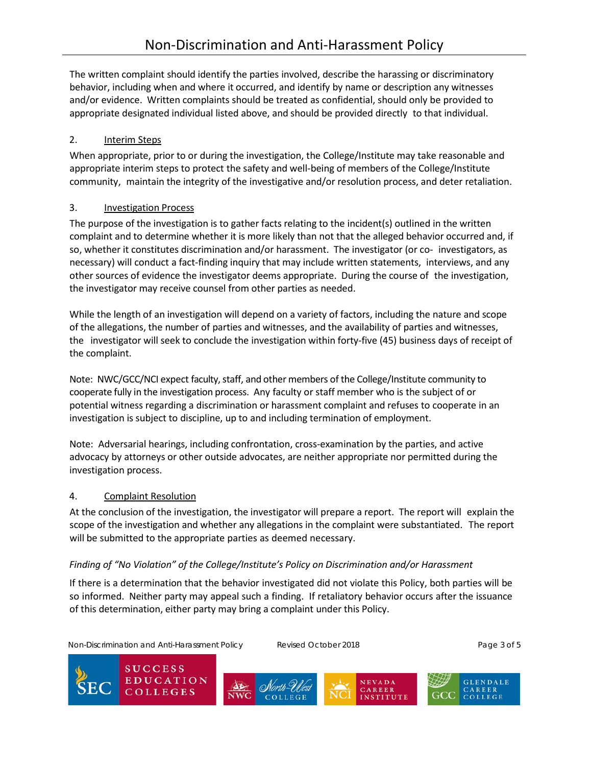The written complaint should identify the parties involved, describe the harassing or discriminatory behavior, including when and where it occurred, and identify by name or description any witnesses and/or evidence. Written complaints should be treated as confidential, should only be provided to appropriate designated individual listed above, and should be provided directly to that individual.

## 2. Interim Steps

When appropriate, prior to or during the investigation, the College/Institute may take reasonable and appropriate interim steps to protect the safety and well-being of members of the College/Institute community, maintain the integrity of the investigative and/or resolution process, and deter retaliation.

## 3. Investigation Process

The purpose of the investigation is to gather facts relating to the incident(s) outlined in the written complaint and to determine whether it is more likely than not that the alleged behavior occurred and, if so, whether it constitutes discrimination and/or harassment. The investigator (or co- investigators, as necessary) will conduct a fact-finding inquiry that may include written statements, interviews, and any other sources of evidence the investigator deems appropriate. During the course of the investigation, the investigator may receive counsel from other parties as needed.

While the length of an investigation will depend on a variety of factors, including the nature and scope of the allegations, the number of parties and witnesses, and the availability of parties and witnesses, the investigator will seek to conclude the investigation within forty-five (45) business days of receipt of the complaint.

Note: NWC/GCC/NCI expect faculty, staff, and other members of the College/Institute community to cooperate fully in the investigation process. Any faculty or staff member who is the subject of or potential witness regarding a discrimination or harassment complaint and refuses to cooperate in an investigation is subject to discipline, up to and including termination of employment.

Note: Adversarial hearings, including confrontation, cross-examination by the parties, and active advocacy by attorneys or other outside advocates, are neither appropriate nor permitted during the investigation process.

## 4. Complaint Resolution

At the conclusion of the investigation, the investigator will prepare a report. The report will explain the scope of the investigation and whether any allegations in the complaint were substantiated. The report will be submitted to the appropriate parties as deemed necessary.

# *Finding of "No Violation" of the College/Institute's Policy on Discrimination and/or Harassment*

If there is a determination that the behavior investigated did not violate this Policy, both parties will be so informed. Neither party may appeal such a finding. If retaliatory behavior occurs after the issuance of this determination, either party may bring a complaint under this Policy.

Non-Discrimination and Anti-Harassment Policy Revised October 2018 Page 3 of 5

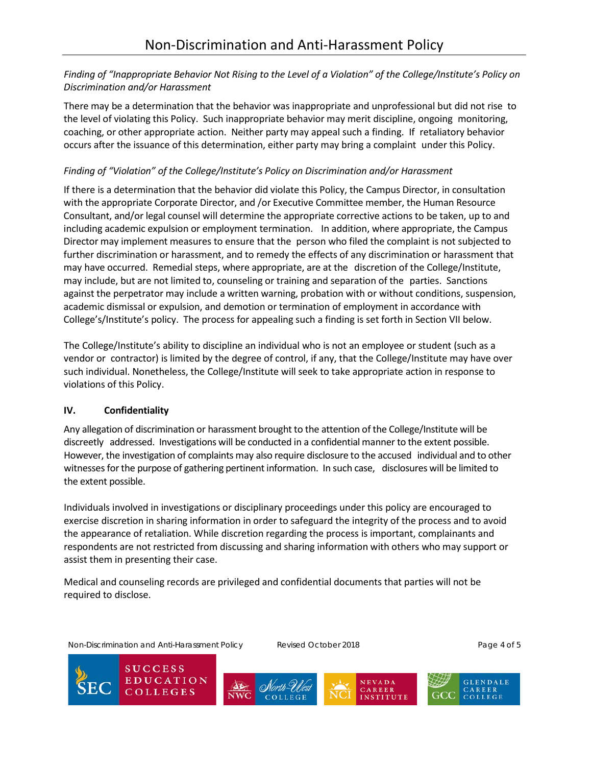### *Finding of "Inappropriate Behavior Not Rising to the Level of a Violation" of the College/Institute's Policy on Discrimination and/or Harassment*

There may be a determination that the behavior was inappropriate and unprofessional but did not rise to the level of violating this Policy. Such inappropriate behavior may merit discipline, ongoing monitoring, coaching, or other appropriate action. Neither party may appeal such a finding. If retaliatory behavior occurs after the issuance of this determination, either party may bring a complaint under this Policy.

### *Finding of "Violation" of the College/Institute's Policy on Discrimination and/or Harassment*

If there is a determination that the behavior did violate this Policy, the Campus Director, in consultation with the appropriate Corporate Director, and /or Executive Committee member, the Human Resource Consultant, and/or legal counsel will determine the appropriate corrective actions to be taken, up to and including academic expulsion or employment termination. In addition, where appropriate, the Campus Director may implement measures to ensure that the person who filed the complaint is not subjected to further discrimination or harassment, and to remedy the effects of any discrimination or harassment that may have occurred. Remedial steps, where appropriate, are at the discretion of the College/Institute, may include, but are not limited to, counseling or training and separation of the parties. Sanctions against the perpetrator may include a written warning, probation with or without conditions, suspension, academic dismissal or expulsion, and demotion or termination of employment in accordance with College's/Institute's policy. The process for appealing such a finding is set forth in Section VII below.

The College/Institute's ability to discipline an individual who is not an employee or student (such as a vendor or contractor) is limited by the degree of control, if any, that the College/Institute may have over such individual. Nonetheless, the College/Institute will seek to take appropriate action in response to violations of this Policy.

### **IV. Confidentiality**

Any allegation of discrimination or harassment brought to the attention of the College/Institute will be discreetly addressed. Investigations will be conducted in a confidential manner to the extent possible. However, the investigation of complaints may also require disclosure to the accused individual and to other witnessesforthe purpose of gathering pertinent information. In such case, disclosures will be limited to the extent possible.

Individuals involved in investigations or disciplinary proceedings under this policy are encouraged to exercise discretion in sharing information in order to safeguard the integrity of the process and to avoid the appearance of retaliation. While discretion regarding the process is important, complainants and respondents are not restricted from discussing and sharing information with others who may support or assist them in presenting their case.

Medical and counseling records are privileged and confidential documents that parties will not be required to disclose.

Non-Discrimination and Anti-Harassment Policy **Revised October 2018** Page 4 of 5